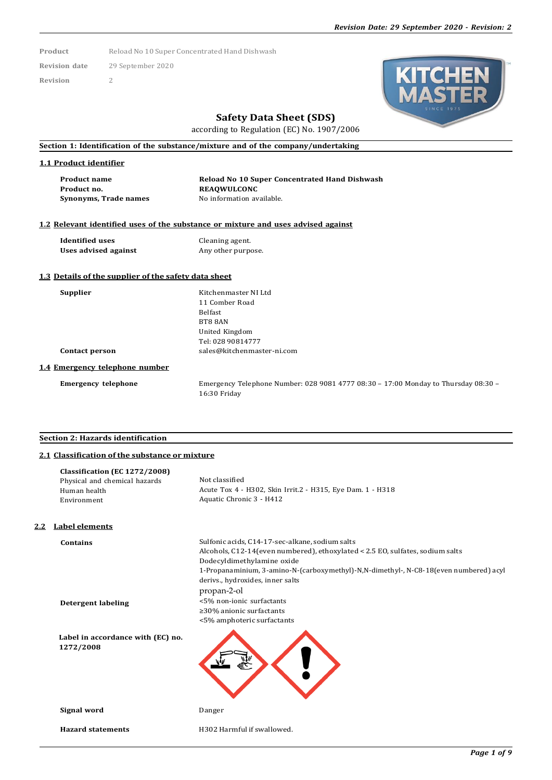Product Reload No 10 Super Concentrated Hand Dishwash

**Revision date** 29 September 2020

**Revision** 2



## **Safety Data Sheet (SDS)**

according to Regulation (EC) No. 1907/2006

**Section 1: Identification of the substance/mixture and of the company/undertaking**

#### **1.1 Product identifier**

**Product name Reload No 10 Super Concentrated Hand Dishwash Product no. REAQWULCONC Synonyms, Trade names** No information available.

#### **1.2 Relevant identified uses of the substance or mixture and uses advised against**

**Identified uses** Cleaning agent.<br> **Uses advised against** Any other purpose. **Uses** advised against

#### **1.3 Details of the supplier of the safety data sheet**

**Supplier** Kitchenmaster NI Ltd 11 Comber Road Belfast BT8 8AN United Kingdom Tel: 028 90814777 **Contact person** [sales@kitchenmaster-ni.com](mailto:sales@kitchenmaster-ni.com)

#### **1.4 Emergency telephone number**

**Emergency telephone** Emergency Telephone Number: 028 9081 4777 08:30 – 17:00 Monday to Thursday 08:30 – 16:30 Friday

### **Section 2: Hazards identification**

### **2.1 Classification of the substance or mixture**

|     | Classification (EC 1272/2008)<br>Physical and chemical hazards<br>Human health<br>Environment | Not classified<br>Acute Tox 4 - H302, Skin Irrit.2 - H315, Eye Dam. 1 - H318<br>Aquatic Chronic 3 - H412                                                                                                                                                                                                    |
|-----|-----------------------------------------------------------------------------------------------|-------------------------------------------------------------------------------------------------------------------------------------------------------------------------------------------------------------------------------------------------------------------------------------------------------------|
| 2.2 | <b>Label elements</b>                                                                         |                                                                                                                                                                                                                                                                                                             |
|     | <b>Contains</b>                                                                               | Sulfonic acids, C14-17-sec-alkane, sodium salts<br>Alcohols, C12-14 (even numbered), ethoxylated < 2.5 EO, sulfates, sodium salts<br>Dodecyldimethylamine oxide<br>1-Propanaminium, 3-amino-N-(carboxymethyl)-N,N-dimethyl-, N-C8-18(even numbered) acyl<br>derivs., hydroxides, inner salts<br>propan-2-ol |
|     | <b>Detergent labeling</b>                                                                     | <5% non-ionic surfactants<br>$\geq$ 30% anionic surfactants<br><5% amphoteric surfactants                                                                                                                                                                                                                   |
|     | Label in accordance with (EC) no.<br>1272/2008                                                |                                                                                                                                                                                                                                                                                                             |
|     | Signal word                                                                                   | Danger                                                                                                                                                                                                                                                                                                      |
|     | <b>Hazard statements</b>                                                                      | H302 Harmful if swallowed.                                                                                                                                                                                                                                                                                  |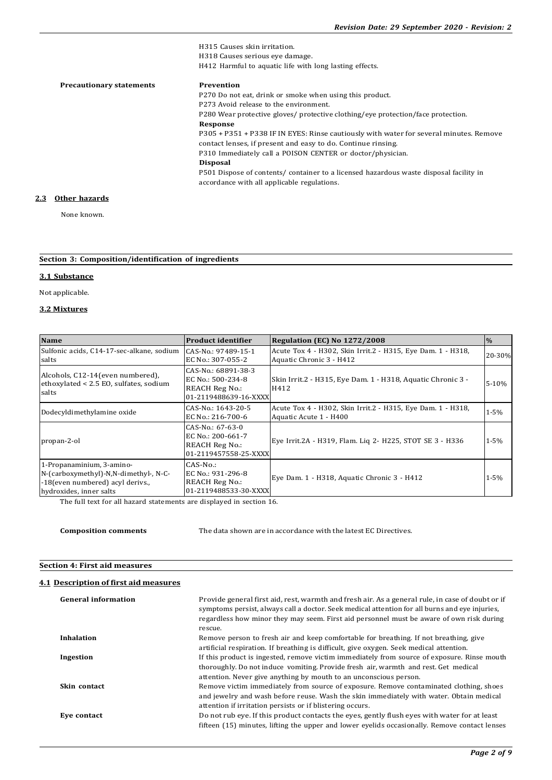H315 Causes skin irritation. H318 Causes serious eye damage. H412 Harmful to aquatic life with long lasting effects. **Precautionary statements Prevention** P270 Do not eat, drink or smoke when using this product. P273 Avoid release to the environment. P280 Wear protective gloves/ protective clothing/eye protection/face protection. **Response** P305 + P351 + P338 IF IN EYES: Rinse cautiously with water for several minutes. Remove contact lenses, if present and easy to do. Continue rinsing. P310 Immediately call a POISON CENTER or doctor/physician. **Disposal** P501 Dispose of contents/ container to a licensed hazardous waste disposal facility in accordance with all applicable regulations. **2.3 Other hazards**

None known.

|  |  |  | Section 3: Composition/identification of ingredients |  |  |
|--|--|--|------------------------------------------------------|--|--|
|--|--|--|------------------------------------------------------|--|--|

#### **3.1 Substance**

Not applicable.

#### **3.2 Mixtures**

| <b>Name</b>                                                                                                                       | <b>Product identifier</b>                                                                  | <b>Regulation (EC) No 1272/2008</b>                                                     | $\frac{0}{0}$ |
|-----------------------------------------------------------------------------------------------------------------------------------|--------------------------------------------------------------------------------------------|-----------------------------------------------------------------------------------------|---------------|
| Sulfonic acids, C14-17-sec-alkane, sodium<br>salts                                                                                | CAS-No.: 97489-15-1<br>EC No.: 307-055-2                                                   | Acute Tox 4 - H302, Skin Irrit.2 - H315, Eye Dam. 1 - H318,<br>Aquatic Chronic 3 - H412 | 20-30%        |
| Alcohols, C12-14 (even numbered),<br>ethoxylated < 2.5 EO, sulfates, sodium<br>salts                                              | CAS-No.: 68891-38-3<br>EC No.: 500-234-8<br><b>REACH Reg No.:</b><br>01-2119488639-16-XXXX | Skin Irrit.2 - H315, Eye Dam. 1 - H318, Aquatic Chronic 3 -<br>H412                     | $5 - 10%$     |
| Dodecyldimethylamine oxide                                                                                                        | CAS-No.: 1643-20-5<br>EC No.: 216-700-6                                                    | Acute Tox 4 - H302, Skin Irrit.2 - H315, Eye Dam. 1 - H318,<br>Aquatic Acute 1 - H400   | $1 - 5\%$     |
| propan-2-ol                                                                                                                       | CAS-No.: 67-63-0<br>EC No.: 200-661-7<br>REACH Reg No.:<br>01-2119457558-25-XXXX           | Eye Irrit.2A - H319, Flam. Lig 2- H225, STOT SE 3 - H336                                | $1 - 5\%$     |
| 1-Propanaminium, 3-amino-<br>N-(carboxymethyl)-N,N-dimethyl-, N-C-<br>-18 (even numbered) acyl derivs.<br>hydroxides, inner salts | $CAS-No.$ :<br>EC No.: 931-296-8<br><b>REACH Reg No.:</b><br>01-2119488533-30-XXXX         | Eye Dam. 1 - H318, Aquatic Chronic 3 - H412                                             | $1 - 5\%$     |

The full text for all hazard statements are displayed in section 16.

**Composition comments** The data shown are in accordance with the latest EC Directives.

#### **Section 4: First aid measures**

#### **4.1 Description of first aid measures**

| <b>General information</b> | Provide general first aid, rest, warmth and fresh air. As a general rule, in case of doubt or if<br>symptoms persist, always call a doctor. Seek medical attention for all burns and eye injuries,<br>regardless how minor they may seem. First aid personnel must be aware of own risk during<br>rescue. |
|----------------------------|-----------------------------------------------------------------------------------------------------------------------------------------------------------------------------------------------------------------------------------------------------------------------------------------------------------|
| Inhalation                 | Remove person to fresh air and keep comfortable for breathing. If not breathing, give<br>artificial respiration. If breathing is difficult, give oxygen. Seek medical attention.                                                                                                                          |
| Ingestion                  | If this product is ingested, remove victim immediately from source of exposure. Rinse mouth<br>thoroughly. Do not induce vomiting. Provide fresh air, warmth and rest. Get medical<br>attention. Never give anything by mouth to an unconscious person.                                                   |
| Skin contact               | Remove victim immediately from source of exposure. Remove contaminated clothing, shoes<br>and jewelry and wash before reuse. Wash the skin immediately with water. Obtain medical<br>attention if irritation persists or if blistering occurs.                                                            |
| Eve contact                | Do not rub eye. If this product contacts the eyes, gently flush eyes with water for at least<br>fifteen (15) minutes, lifting the upper and lower eyelids occasionally. Remove contact lenses                                                                                                             |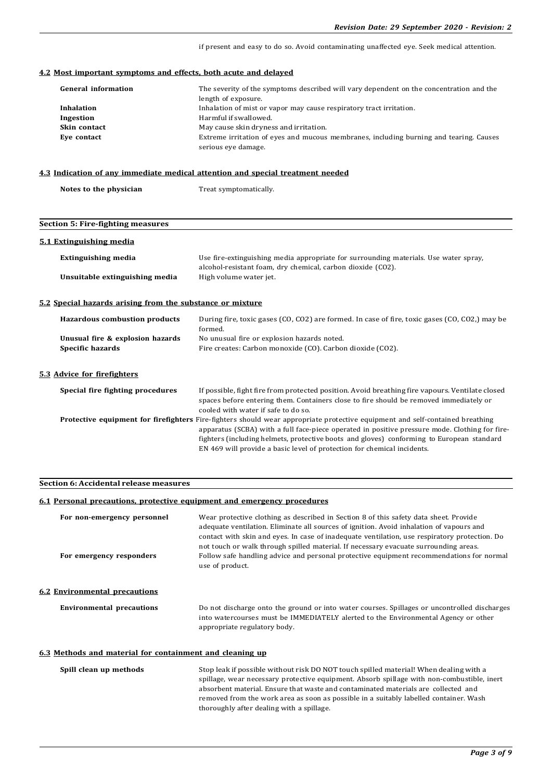if present and easy to do so. Avoid contaminating unaffected eye. Seek medical attention.

#### **4.2 Most important symptoms and effects, both acute and delayed**

| <b>General information</b> | The severity of the symptoms described will vary dependent on the concentration and the                       |
|----------------------------|---------------------------------------------------------------------------------------------------------------|
|                            | length of exposure.                                                                                           |
| Inhalation                 | Inhalation of mist or vapor may cause respiratory tract irritation.                                           |
| Ingestion                  | Harmful if swallowed.                                                                                         |
| Skin contact               | May cause skin dryness and irritation.                                                                        |
| Eve contact                | Extreme irritation of eyes and mucous membranes, including burning and tearing. Causes<br>serious eye damage. |

#### **4.3 Indication of any immediate medical attention and special treatment needed**

| Notes to the physician | Treat symptomatically. |  |
|------------------------|------------------------|--|
|------------------------|------------------------|--|

# **Section 5: Fire-fighting measures 5.1 Extinguishing media Extinguishing media** Use fire-extinguishing media appropriate for surrounding materials. Use water spray, alcohol-resistant foam, dry chemical, carbon dioxide (CO2). **Unsuitable extinguishing media** High volume water jet. **5.2 Special hazards arising from the substance or mixture Hazardous combustion products** During fire, toxic gases (CO, CO2) are formed. In case of fire, toxic gases (CO, CO2,) may be formed. **Unusual fire & explosion hazards** No unusual fire or explosion hazards noted. **Specific hazards** Fire creates: Carbon monoxide (CO). Carbon dioxide (CO2). **5.3 Advice for firefighters Special fire fighting procedures** If possible, fight fire from protected position. Avoid breathing fire vapours. Ventilate closed spaces before entering them. Containers close to fire should be removed immediately or cooled with water if safe to do so. **Protective equipment for firefighters** Fire-fighters should wear appropriate protective equipment and self-contained breathing apparatus (SCBA) with a full face-piece operated in positive pressure mode. Clothing for firefighters (including helmets, protective boots and gloves) conforming to European standard EN 469 will provide a basic level of protection for chemical incidents.

#### **Section 6: Accidental release measures**

#### **6.1 Personal precautions, protective equipment and emergency procedures**

| Wear protective clothing as described in Section 8 of this safety data sheet. Provide<br>adequate ventilation. Eliminate all sources of ignition. Avoid inhalation of vapours and<br>contact with skin and eyes. In case of inadequate ventilation, use respiratory protection. Do<br>not touch or walk through spilled material. If necessary evacuate surrounding areas. |  |  |
|----------------------------------------------------------------------------------------------------------------------------------------------------------------------------------------------------------------------------------------------------------------------------------------------------------------------------------------------------------------------------|--|--|
| Follow safe handling advice and personal protective equipment recommendations for normal<br>use of product.                                                                                                                                                                                                                                                                |  |  |
| Do not discharge onto the ground or into water courses. Spillages or uncontrolled discharges                                                                                                                                                                                                                                                                               |  |  |
| into watercourses must be IMMEDIATELY alerted to the Environmental Agency or other<br>appropriate regulatory body.                                                                                                                                                                                                                                                         |  |  |
|                                                                                                                                                                                                                                                                                                                                                                            |  |  |

#### **6.3 Methods and material for containment and cleaning up**

| Spill clean up methods | Stop leak if possible without risk DO NOT touch spilled material! When dealing with a      |  |
|------------------------|--------------------------------------------------------------------------------------------|--|
|                        | spillage, wear necessary protective equipment. Absorb spillage with non-combustible, inert |  |
|                        | absorbent material. Ensure that waste and contaminated materials are collected and         |  |
|                        | removed from the work area as soon as possible in a suitably labelled container. Wash      |  |
|                        | thoroughly after dealing with a spillage.                                                  |  |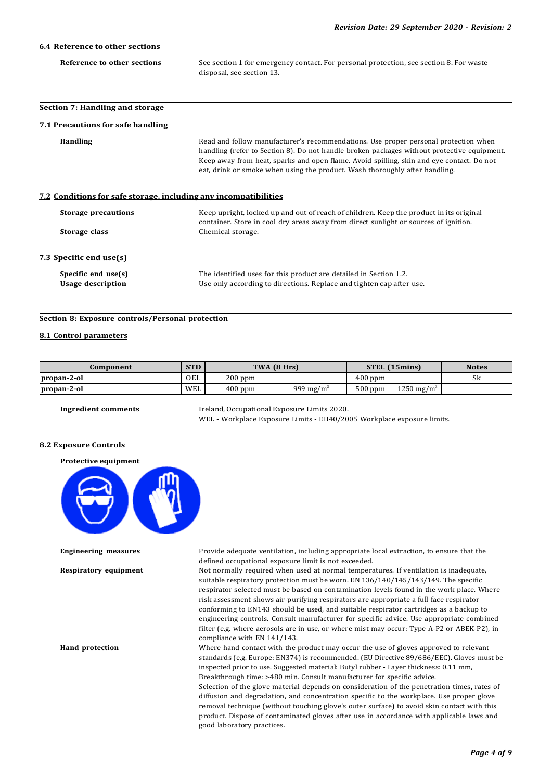| 6.4 Reference to other sections                                  |                                                                                                                                                                                                                                                                                                                                                              |  |  |  |
|------------------------------------------------------------------|--------------------------------------------------------------------------------------------------------------------------------------------------------------------------------------------------------------------------------------------------------------------------------------------------------------------------------------------------------------|--|--|--|
| Reference to other sections                                      | See section 1 for emergency contact. For personal protection, see section 8. For waste<br>disposal, see section 13.                                                                                                                                                                                                                                          |  |  |  |
| Section 7: Handling and storage                                  |                                                                                                                                                                                                                                                                                                                                                              |  |  |  |
| <b>7.1 Precautions for safe handling</b>                         |                                                                                                                                                                                                                                                                                                                                                              |  |  |  |
| <b>Handling</b>                                                  | Read and follow manufacturer's recommendations. Use proper personal protection when<br>handling (refer to Section 8). Do not handle broken packages without protective equipment.<br>Keep away from heat, sparks and open flame. Avoid spilling, skin and eye contact. Do not<br>eat, drink or smoke when using the product. Wash thoroughly after handling. |  |  |  |
| 7.2 Conditions for safe storage, including any incompatibilities |                                                                                                                                                                                                                                                                                                                                                              |  |  |  |
| <b>Storage precautions</b><br>Storage class                      | Keep upright, locked up and out of reach of children. Keep the product in its original<br>container. Store in cool dry areas away from direct sunlight or sources of ignition.<br>Chemical storage.                                                                                                                                                          |  |  |  |
| 7.3 Specific end use(s)                                          |                                                                                                                                                                                                                                                                                                                                                              |  |  |  |
| Specific end use(s)<br><b>Usage description</b>                  | The identified uses for this product are detailed in Section 1.2.<br>Use only according to directions. Replace and tighten cap after use.                                                                                                                                                                                                                    |  |  |  |

#### **Section 8: Exposure controls/Personal protection**

#### **8.1 Control parameters**

| Component   | <b>STD</b> |           | TWA (8 Hrs)           |           | <b>STEL (15mins)</b>   | <b>Notes</b> |
|-------------|------------|-----------|-----------------------|-----------|------------------------|--------------|
| propan-2-ol | OEL        | $200$ ppm |                       | $400$ ppm |                        | SК           |
| propan-2-ol | WEL        | $400$ ppm | 999 mg/m <sup>3</sup> | $500$ ppm | 1250 mg/m <sup>3</sup> |              |

**Ingredient comments** Ireland, Occupational Exposure Limits 2020. WEL - Workplace Exposure Limits - EH40/2005 Workplace exposure limits.

#### **8.2 Exposure Controls**

#### **Protective equipment**



**Engineering measures** Provide adequate ventilation, including appropriate local extraction, to ensure that the defined occupational exposure limit is not exceeded.

**Respiratory equipment** Not normally required when used at normal temperatures. If ventilation is inadequate, suitable respiratory protection must be worn. EN 136/140/145/143/149. The specific respirator selected must be based on contamination levels found in the work place. Where risk assessment shows air-purifying respirators are appropriate a full face respirator conforming to EN143 should be used, and suitable respirator cartridges as a backup to engineering controls. Consult manufacturer for specific advice. Use appropriate combined filter (e.g. where aerosols are in use, or where mist may occur: Type A-P2 or ABEK-P2), in compliance with EN 141/143.

**Hand protection** Where hand contact with the product may occur the use of gloves approved to relevant standards (e.g. Europe: EN374) is recommended. (EU Directive 89/686/EEC). Gloves must be inspected prior to use. Suggested material: Butyl rubber - Layer thickness: 0.11 mm, Breakthrough time: >480 min. Consult manufacturer for specific advice. Selection of the glove material depends on consideration of the penetration times, rates of diffusion and degradation, and concentration specific to the workplace. Use proper glove removal technique (without touching glove's outer surface) to avoid skin contact with this product. Dispose of contaminated gloves after use in accordance with applicable laws and good laboratory practices.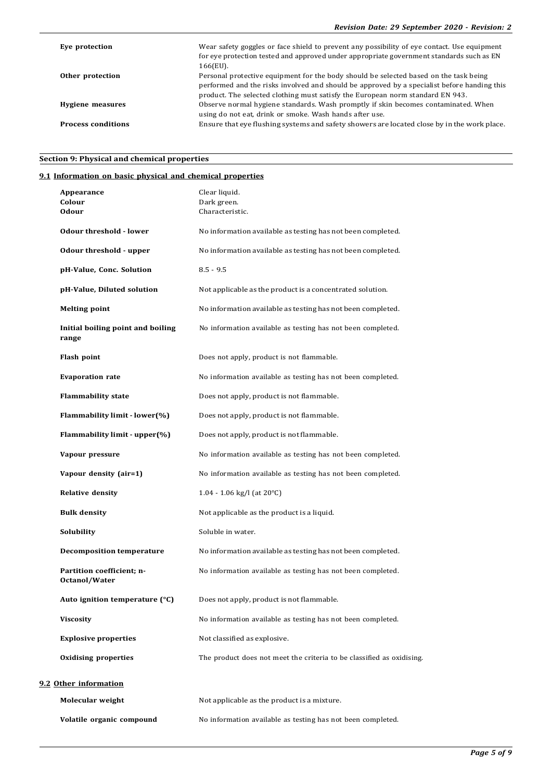| Eye protection            | Wear safety goggles or face shield to prevent any possibility of eye contact. Use equipment<br>for eye protection tested and approved under appropriate government standards such as EN<br>166(EU).                                                                    |
|---------------------------|------------------------------------------------------------------------------------------------------------------------------------------------------------------------------------------------------------------------------------------------------------------------|
| Other protection          | Personal protective equipment for the body should be selected based on the task being<br>performed and the risks involved and should be approved by a specialist before handing this<br>product. The selected clothing must satisfy the European norm standard EN 943. |
| Hygiene measures          | Observe normal hygiene standards. Wash promptly if skin becomes contaminated. When<br>using do not eat, drink or smoke. Wash hands after use.                                                                                                                          |
| <b>Process conditions</b> | Ensure that eye flushing systems and safety showers are located close by in the work place.                                                                                                                                                                            |

## **Section 9: Physical and chemical properties**

## **9.1 Information on basic physical and chemical properties**

| Appearance<br>Colour<br><b>Odour</b>       | Clear liquid.<br>Dark green.<br>Characteristic.                       |
|--------------------------------------------|-----------------------------------------------------------------------|
| <b>Odour threshold - lower</b>             | No information available as testing has not been completed.           |
| Odour threshold - upper                    | No information available as testing has not been completed.           |
| pH-Value, Conc. Solution                   | $8.5 - 9.5$                                                           |
| pH-Value, Diluted solution                 | Not applicable as the product is a concentrated solution.             |
| <b>Melting point</b>                       | No information available as testing has not been completed.           |
| Initial boiling point and boiling<br>range | No information available as testing has not been completed.           |
| Flash point                                | Does not apply, product is not flammable.                             |
| <b>Evaporation rate</b>                    | No information available as testing has not been completed.           |
| <b>Flammability state</b>                  | Does not apply, product is not flammable.                             |
| Flammability limit - lower(%)              | Does not apply, product is not flammable.                             |
| Flammability limit - upper(%)              | Does not apply, product is not flammable.                             |
| Vapour pressure                            | No information available as testing has not been completed.           |
| Vapour density (air=1)                     | No information available as testing has not been completed.           |
| <b>Relative density</b>                    | 1.04 - 1.06 kg/l (at $20^{\circ}$ C)                                  |
| <b>Bulk density</b>                        | Not applicable as the product is a liquid.                            |
| Solubility                                 | Soluble in water.                                                     |
| <b>Decomposition temperature</b>           | No information available as testing has not been completed.           |
| Partition coefficient; n-<br>Octanol/Water | No information available as testing has not been completed.           |
| Auto ignition temperature $(°C)$           | Does not apply, product is not flammable.                             |
| Viscosity                                  | No information available as testing has not been completed.           |
| <b>Explosive properties</b>                | Not classified as explosive.                                          |
| <b>Oxidising properties</b>                | The product does not meet the criteria to be classified as oxidising. |
| 9.2 Other information                      |                                                                       |
| Molecular weight                           | Not applicable as the product is a mixture.                           |
| Volatile organic compound                  | No information available as testing has not been completed.           |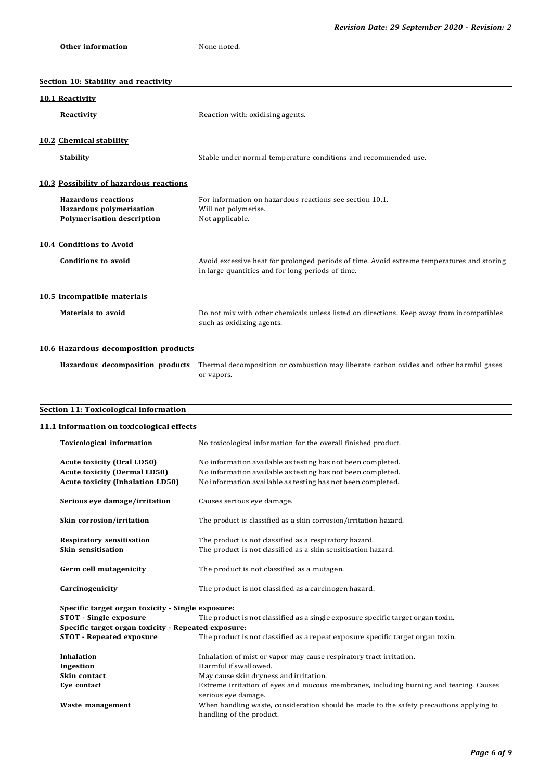```
Other information None noted.
```
**Section 10: Stability and reactivity**

| <b>10.1 Reactivity</b>                                                                                              |                                                                                                                                                                                           |
|---------------------------------------------------------------------------------------------------------------------|-------------------------------------------------------------------------------------------------------------------------------------------------------------------------------------------|
| Reactivity                                                                                                          | Reaction with: oxidising agents.                                                                                                                                                          |
| 10.2 Chemical stability                                                                                             |                                                                                                                                                                                           |
| <b>Stability</b>                                                                                                    | Stable under normal temperature conditions and recommended use.                                                                                                                           |
| 10.3 Possibility of hazardous reactions                                                                             |                                                                                                                                                                                           |
| <b>Hazardous reactions</b><br>Hazardous polymerisation<br><b>Polymerisation description</b>                         | For information on hazardous reactions see section 10.1.<br>Will not polymerise.<br>Not applicable.                                                                                       |
| <b>10.4 Conditions to Avoid</b>                                                                                     |                                                                                                                                                                                           |
| <b>Conditions to avoid</b>                                                                                          | Avoid excessive heat for prolonged periods of time. Avoid extreme temperatures and storing<br>in large quantities and for long periods of time.                                           |
| 10.5 Incompatible materials                                                                                         |                                                                                                                                                                                           |
| Materials to avoid                                                                                                  | Do not mix with other chemicals unless listed on directions. Keep away from incompatibles<br>such as oxidizing agents.                                                                    |
| 10.6 Hazardous decomposition products                                                                               |                                                                                                                                                                                           |
|                                                                                                                     | Hazardous decomposition products Thermal decomposition or combustion may liberate carbon oxides and other harmful gases<br>or vapors.                                                     |
|                                                                                                                     |                                                                                                                                                                                           |
| <b>Section 11: Toxicological information</b>                                                                        |                                                                                                                                                                                           |
| 11.1 Information on toxicological effects                                                                           |                                                                                                                                                                                           |
|                                                                                                                     |                                                                                                                                                                                           |
| <b>Toxicological information</b>                                                                                    | No toxicological information for the overall finished product.                                                                                                                            |
| <b>Acute toxicity (Oral LD50)</b><br><b>Acute toxicity (Dermal LD50)</b><br><b>Acute toxicity (Inhalation LD50)</b> | No information available as testing has not been completed.<br>No information available as testing has not been completed.<br>No information available as testing has not been completed. |
| Serious eye damage/irritation                                                                                       | Causes serious eye damage.                                                                                                                                                                |
| Skin corrosion/irritation                                                                                           | The product is classified as a skin corrosion/irritation hazard.                                                                                                                          |
| <b>Respiratory sensitisation</b><br>Skin sensitisation                                                              | The product is not classified as a respiratory hazard.<br>The product is not classified as a skin sensitisation hazard.                                                                   |
| Germ cell mutagenicity                                                                                              | The product is not classified as a mutagen.                                                                                                                                               |
| Carcinogenicity                                                                                                     | The product is not classified as a carcinogen hazard.                                                                                                                                     |
| Specific target organ toxicity - Single exposure:<br><b>STOT</b> - Single exposure                                  | The product is not classified as a single exposure specific target organ toxin.                                                                                                           |
| Specific target organ toxicity - Repeated exposure:<br><b>STOT - Repeated exposure</b>                              | The product is not classified as a repeat exposure specific target organ toxin.                                                                                                           |
| Inhalation                                                                                                          | Inhalation of mist or vapor may cause respiratory tract irritation.                                                                                                                       |
| Ingestion                                                                                                           | Harmful if swallowed.                                                                                                                                                                     |
| Skin contact                                                                                                        | May cause skin dryness and irritation.                                                                                                                                                    |
| Eye contact                                                                                                         | Extreme irritation of eyes and mucous membranes, including burning and tearing. Causes<br>serious eye damage.                                                                             |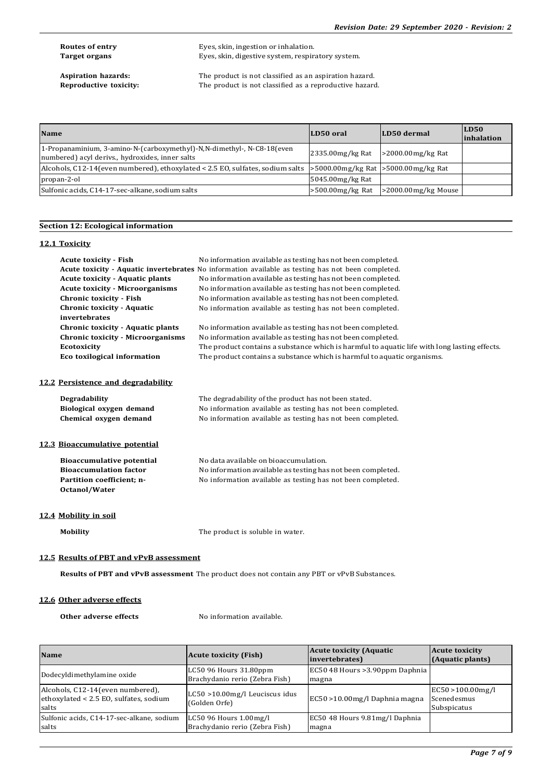**Routes of entry** Eyes, skin, ingestion or inhalation. Target organs **Eyes**, skin, digestive system, respiratory system.

**Aspiration hazards:** The product is not classified as an aspiration hazard.<br>**Reproductive toxicity:** The product is not classified as a reproductive hazard. The product is not classified as a reproductive hazard.

| <b>Name</b>                                                                                                                    | LD50 oral           | LD50 dermal            | LD50<br><i>inhalation</i> |
|--------------------------------------------------------------------------------------------------------------------------------|---------------------|------------------------|---------------------------|
| 1-Propanaminium, 3-amino-N-(carboxymethyl)-N,N-dimethyl-, N-C8-18 (even<br>numbered) acyl derivs., hydroxides, inner salts     | 2335.00mg/kg Rat    | $>$ 2000.00mg/kg Rat   |                           |
| Alcohols, C12-14 (even numbered), ethoxylated < 2.5 EO, sulfates, sodium salts $\geq$ 5000.00mg/kg Rat $\geq$ 5000.00mg/kg Rat |                     |                        |                           |
| propan-2-ol                                                                                                                    | 5045.00mg/kg Rat    |                        |                           |
| Sulfonic acids, C14-17-sec-alkane, sodium salts                                                                                | $>500.00$ mg/kg Rat | $>2000.00$ mg/kg Mouse |                           |

#### **Section 12: Ecological information**

#### **12.1 Toxicity**

| <b>Acute toxicity - Fish</b><br><b>Acute toxicity - Aquatic plants</b><br><b>Acute toxicity - Microorganisms</b><br>Chronic toxicity - Fish<br><b>Chronic toxicity - Aquatic</b><br>invertebrates<br><b>Chronic toxicity - Aquatic plants</b><br><b>Chronic toxicity - Microorganisms</b> | No information available as testing has not been completed.<br>Acute toxicity - Aquatic invertebrates No information available as testing has not been completed.<br>No information available as testing has not been completed.<br>No information available as testing has not been completed.<br>No information available as testing has not been completed.<br>No information available as testing has not been completed.<br>No information available as testing has not been completed.<br>No information available as testing has not been completed. |  |
|-------------------------------------------------------------------------------------------------------------------------------------------------------------------------------------------------------------------------------------------------------------------------------------------|-------------------------------------------------------------------------------------------------------------------------------------------------------------------------------------------------------------------------------------------------------------------------------------------------------------------------------------------------------------------------------------------------------------------------------------------------------------------------------------------------------------------------------------------------------------|--|
| <b>Ecotoxicity</b>                                                                                                                                                                                                                                                                        | The product contains a substance which is harmful to aquatic life with long lasting effects.                                                                                                                                                                                                                                                                                                                                                                                                                                                                |  |
| Eco toxilogical information                                                                                                                                                                                                                                                               | The product contains a substance which is harmful to aquatic organisms.                                                                                                                                                                                                                                                                                                                                                                                                                                                                                     |  |
| 12.2 Persistence and degradability<br><b>Degradability</b><br>Biological oxygen demand<br>Chemical oxygen demand                                                                                                                                                                          | The degradability of the product has not been stated.<br>No information available as testing has not been completed.<br>No information available as testing has not been completed.                                                                                                                                                                                                                                                                                                                                                                         |  |
| 12.3 Bioaccumulative potential                                                                                                                                                                                                                                                            |                                                                                                                                                                                                                                                                                                                                                                                                                                                                                                                                                             |  |
| <b>Bioaccumulative potential</b><br><b>Bioaccumulation factor</b><br>Partition coefficient; n-<br>Octanol/Water                                                                                                                                                                           | No data available on bioaccumulation.<br>No information available as testing has not been completed.<br>No information available as testing has not been completed.                                                                                                                                                                                                                                                                                                                                                                                         |  |
| 12.4 Mobility in soil                                                                                                                                                                                                                                                                     |                                                                                                                                                                                                                                                                                                                                                                                                                                                                                                                                                             |  |
| <b>Mobility</b>                                                                                                                                                                                                                                                                           | The product is soluble in water.                                                                                                                                                                                                                                                                                                                                                                                                                                                                                                                            |  |
| 12.5 Results of PBT and vPvB assessment<br><b>Results of PBT and vPvB assessment</b> The product does not contain any PBT or vPvB Substances.                                                                                                                                             |                                                                                                                                                                                                                                                                                                                                                                                                                                                                                                                                                             |  |

## **12.6 Other adverse effects**

**Other adverse effects** No information available.

| <b>Name</b>                                                                          | <b>Acute toxicity (Fish)</b>                             | <b>Acute toxicity (Aquatic</b><br>invertebrates) | <b>Acute toxicity</b><br>(Aquatic plants)      |
|--------------------------------------------------------------------------------------|----------------------------------------------------------|--------------------------------------------------|------------------------------------------------|
| Dodecyldimethylamine oxide                                                           | LC50 96 Hours 31.80ppm<br>Brachydanio rerio (Zebra Fish) | EC50 48 Hours > 3.90ppm Daphnia<br>magna         |                                                |
| Alcohols, C12-14 (even numbered),<br>ethoxylated < 2.5 EO, sulfates, sodium<br>salts | $LC50 > 10.00$ mg/l Leuciscus idus<br>(Golden Orfe)      | EC50 > 10.00 mg/l Daphnia magna                  | EC50 >100.00mg/l<br>Scenedesmus<br>Subspicatus |
| Sulfonic acids, C14-17-sec-alkane, sodium<br>salts                                   | LC50 96 Hours 1.00mg/l<br>Brachydanio rerio (Zebra Fish) | EC50 48 Hours 9.81mg/l Daphnia<br>magna          |                                                |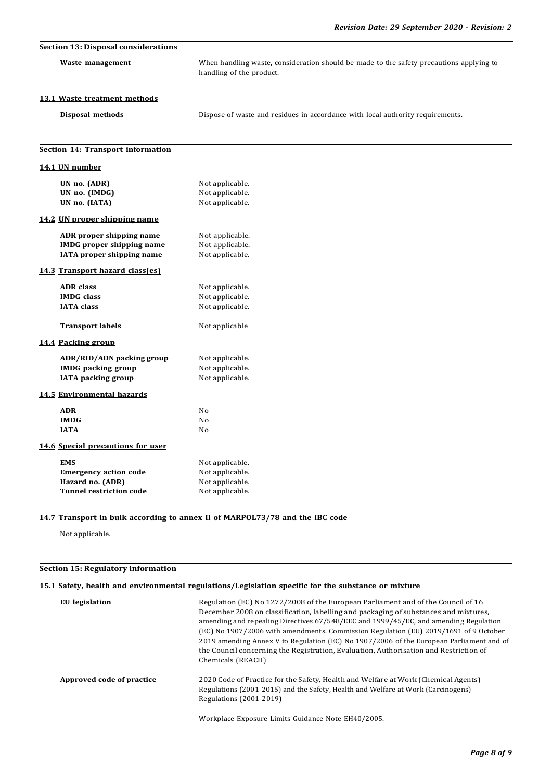| <b>Section 13: Disposal considerations</b> |                                                                                                                     |
|--------------------------------------------|---------------------------------------------------------------------------------------------------------------------|
| Waste management                           | When handling waste, consideration should be made to the safety precautions applying to<br>handling of the product. |
| 13.1 Waste treatment methods               |                                                                                                                     |
| Disposal methods                           | Dispose of waste and residues in accordance with local authority requirements.                                      |
| Section 14: Transport information          |                                                                                                                     |
| 14.1 UN number                             |                                                                                                                     |
| UN no. (ADR)                               | Not applicable.                                                                                                     |
| UN no. (IMDG)                              | Not applicable.                                                                                                     |
| UN no. (IATA)                              | Not applicable.                                                                                                     |
| 14.2 UN proper shipping name               |                                                                                                                     |
| ADR proper shipping name                   | Not applicable.                                                                                                     |
| <b>IMDG</b> proper shipping name           | Not applicable.                                                                                                     |
| IATA proper shipping name                  | Not applicable.                                                                                                     |
| 14.3 Transport hazard class(es)            |                                                                                                                     |
| <b>ADR</b> class                           | Not applicable.                                                                                                     |
| <b>IMDG</b> class                          | Not applicable.                                                                                                     |
| <b>IATA</b> class                          | Not applicable.                                                                                                     |
| <b>Transport labels</b>                    | Not applicable                                                                                                      |
| 14.4 Packing group                         |                                                                                                                     |
| ADR/RID/ADN packing group                  | Not applicable.                                                                                                     |
| <b>IMDG</b> packing group                  | Not applicable.                                                                                                     |
| <b>IATA</b> packing group                  | Not applicable.                                                                                                     |
| 14.5 Environmental hazards                 |                                                                                                                     |
| <b>ADR</b>                                 | No                                                                                                                  |
| <b>IMDG</b>                                | No                                                                                                                  |
| <b>IATA</b>                                | No                                                                                                                  |
| 14.6 Special precautions for user          |                                                                                                                     |
| <b>EMS</b>                                 | Not applicable.                                                                                                     |
| <b>Emergency action code</b>               | Not applicable.                                                                                                     |
| Hazard no. (ADR)                           | Not applicable.                                                                                                     |
| <b>Tunnel restriction code</b>             | Not applicable.                                                                                                     |

## **14.7 Transport in bulk according to annex II of MARPOL73/78 and the IBC code**

Not applicable.

## **Section 15: Regulatory information**

## **15.1 Safety, health and environmental regulations/Legislation specific for the substance or mixture**

| EU legislation            | Regulation (EC) No 1272/2008 of the European Parliament and of the Council of 16<br>December 2008 on classification, labelling and packaging of substances and mixtures,<br>amending and repealing Directives 67/548/EEC and 1999/45/EC, and amending Regulation<br>(EC) No 1907/2006 with amendments. Commission Regulation (EU) 2019/1691 of 9 October<br>2019 amending Annex V to Regulation (EC) No 1907/2006 of the European Parliament and of<br>the Council concerning the Registration, Evaluation, Authorisation and Restriction of<br>Chemicals (REACH) |
|---------------------------|-------------------------------------------------------------------------------------------------------------------------------------------------------------------------------------------------------------------------------------------------------------------------------------------------------------------------------------------------------------------------------------------------------------------------------------------------------------------------------------------------------------------------------------------------------------------|
| Approved code of practice | 2020 Code of Practice for the Safety, Health and Welfare at Work (Chemical Agents)<br>Regulations (2001-2015) and the Safety, Health and Welfare at Work (Carcinogens)<br>Regulations (2001-2019)                                                                                                                                                                                                                                                                                                                                                                 |
|                           | Workplace Exposure Limits Guidance Note EH40/2005.                                                                                                                                                                                                                                                                                                                                                                                                                                                                                                                |